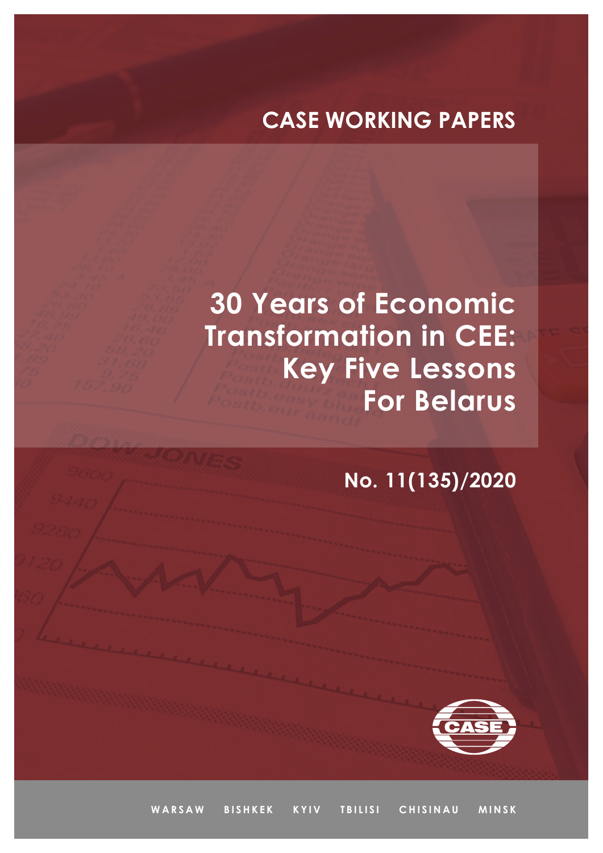## **CASE WORKING PAPERS**

# **30 Years of Economic Transformation in CEE: Key Five Lessons For Belarus**

**No. 11(135)/2020**



WARSAW BISHKEK KYIV TBILISI CHISINAU MINSK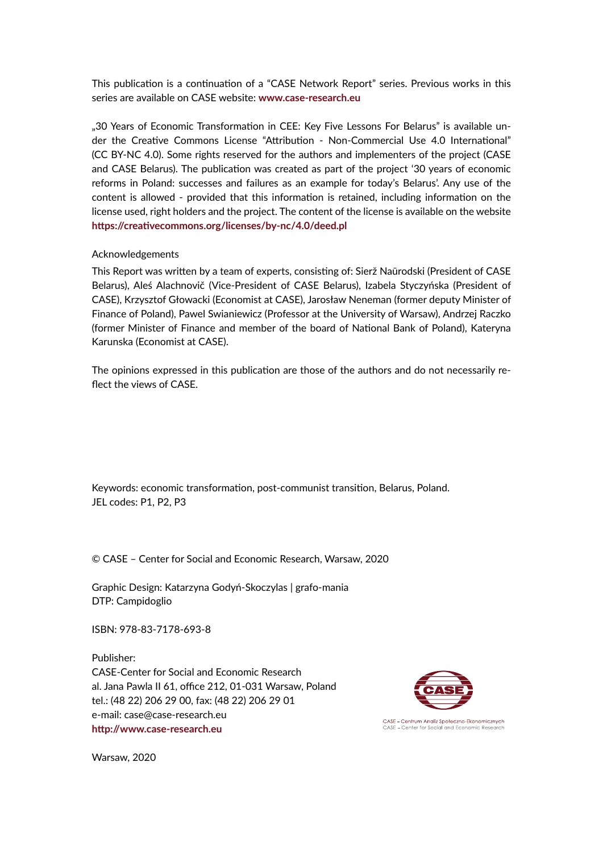This publication is a continuation of a "CASE Network Report" series. Previous works in this series are available on CASE website: **www.case-research.eu**

"30 Years of Economic Transformation in CEE: Key Five Lessons For Belarus" is available under the Creative Commons License "Attribution - Non-Commercial Use 4.0 International" (CC BY-NC 4.0). Some rights reserved for the authors and implementers of the project (CASE and CASE Belarus). The publication was created as part of the project '30 years of economic reforms in Poland: successes and failures as an example for today's Belarus'. Any use of the content is allowed - provided that this information is retained, including information on the license used, right holders and the project. The content of the license is available on the website **https://creativecommons.org/licenses/by-nc/4.0/deed.pl**

#### Acknowledgements

This Report was written by a team of experts, consisting of: Sierž Naūrodski (President of CASE Belarus), Aleś Alachnovič (Vice-President of CASE Belarus), Izabela Styczyńska (President of CASE), Krzysztof Głowacki (Economist at CASE), Jarosław Neneman (former deputy Minister of Finance of Poland), Pawel Swianiewicz (Professor at the University of Warsaw), Andrzej Raczko (former Minister of Finance and member of the board of National Bank of Poland), Kateryna Karunska (Economist at CASE).

The opinions expressed in this publication are those of the authors and do not necessarily reflect the views of CASE.

Keywords: economic transformation, post-communist transition, Belarus, Poland. JEL codes: P1, P2, P3

© CASE – Center for Social and Economic Research, Warsaw, 2020

Graphic Design: Katarzyna Godyń-Skoczylas | grafo-mania DTP: Campidoglio

ISBN: 978-83-7178-693-8

Publisher: CASE-Center for Social and Economic Research al. Jana Pawla II 61, office 212, 01-031 Warsaw, Poland tel.: (48 22) 206 29 00, fax: (48 22) 206 29 01 e-mail: case@case-research.eu **http://www.case-research.eu**



Warsaw, 2020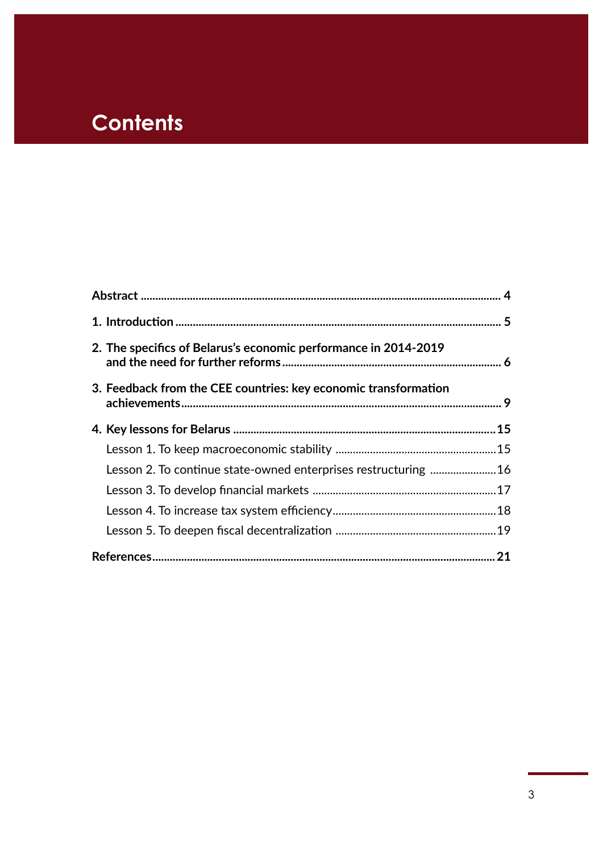## **Contents**

| 2. The specifics of Belarus's economic performance in 2014-2019<br>3. Feedback from the CEE countries: key economic transformation |  |  |  |
|------------------------------------------------------------------------------------------------------------------------------------|--|--|--|
|                                                                                                                                    |  |  |  |
|                                                                                                                                    |  |  |  |
| Lesson 2. To continue state-owned enterprises restructuring  16                                                                    |  |  |  |
|                                                                                                                                    |  |  |  |
|                                                                                                                                    |  |  |  |
|                                                                                                                                    |  |  |  |
|                                                                                                                                    |  |  |  |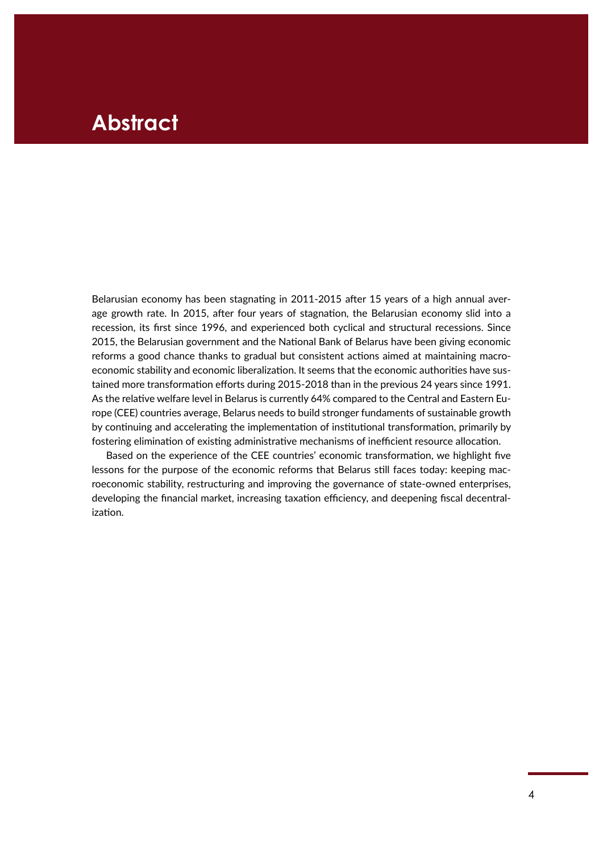### <span id="page-3-0"></span>**Abstract**

Belarusian economy has been stagnating in 2011-2015 after 15 years of a high annual average growth rate. In 2015, after four years of stagnation, the Belarusian economy slid into a recession, its first since 1996, and experienced both cyclical and structural recessions. Since 2015, the Belarusian government and the National Bank of Belarus have been giving economic reforms a good chance thanks to gradual but consistent actions aimed at maintaining macroeconomic stability and economic liberalization. It seems that the economic authorities have sustained more transformation efforts during 2015-2018 than in the previous 24 years since 1991. As the relative welfare level in Belarus is currently 64% compared to the Central and Eastern Europe (CEE) countries average, Belarus needs to build stronger fundaments of sustainable growth by continuing and accelerating the implementation of institutional transformation, primarily by fostering elimination of existing administrative mechanisms of inefficient resource allocation.

Based on the experience of the CEE countries' economic transformation, we highlight five lessons for the purpose of the economic reforms that Belarus still faces today: keeping macroeconomic stability, restructuring and improving the governance of state-owned enterprises, developing the financial market, increasing taxation efficiency, and deepening fiscal decentralization.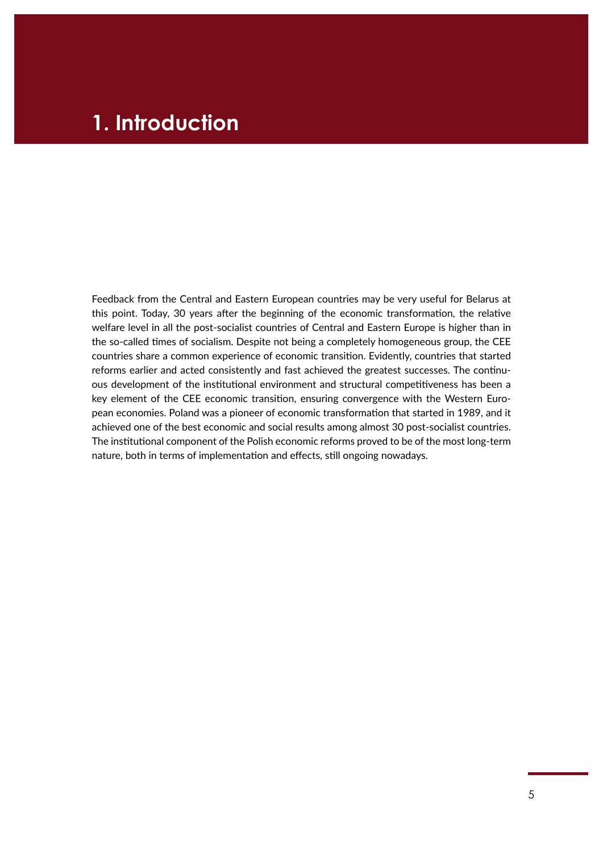### <span id="page-4-0"></span>**1. Introduction**

Feedback from the Central and Eastern European countries may be very useful for Belarus at this point. Today, 30 years after the beginning of the economic transformation, the relative welfare level in all the post-socialist countries of Central and Eastern Europe is higher than in the so-called times of socialism. Despite not being a completely homogeneous group, the CEE countries share a common experience of economic transition. Evidently, countries that started reforms earlier and acted consistently and fast achieved the greatest successes. The continuous development of the institutional environment and structural competitiveness has been a key element of the CEE economic transition, ensuring convergence with the Western European economies. Poland was a pioneer of economic transformation that started in 1989, and it achieved one of the best economic and social results among almost 30 post-socialist countries. The institutional component of the Polish economic reforms proved to be of the most long‑term nature, both in terms of implementation and effects, still ongoing nowadays.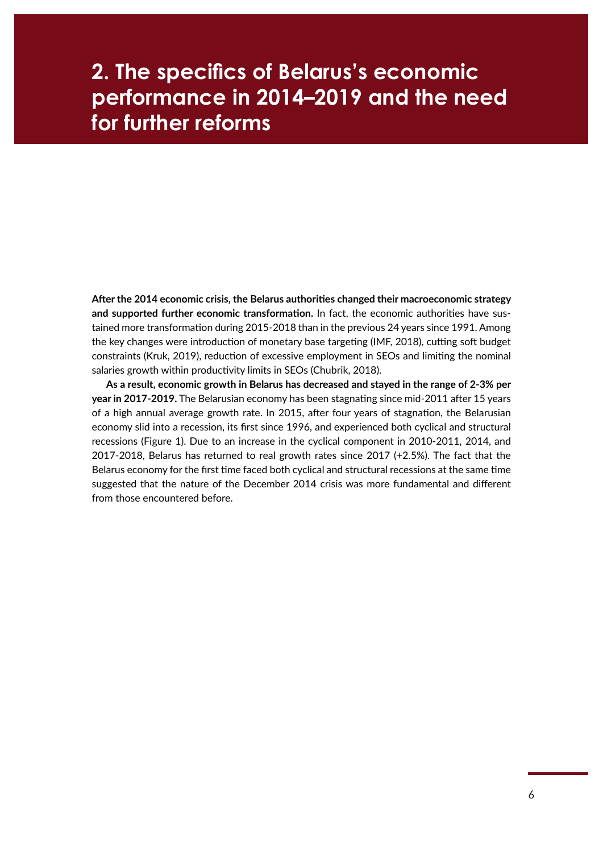### <span id="page-5-0"></span>**2. The specifics of Belarus's economic performance in 2014–2019 and the need for further reforms**

**After the 2014 economic crisis, the Belarus authorities changed their macroeconomic strategy and supported further economic transformation.** In fact, the economic authorities have sustained more transformation during 2015-2018 than in the previous 24 years since 1991. Among the key changes were introduction of monetary base targeting (IMF, 2018), cutting soft budget constraints (Kruk, 2019), reduction of excessive employment in SEOs and limiting the nominal salaries growth within productivity limits in SEOs (Chubrik, 2018).

**As a result, economic growth in Belarus has decreased and stayed in the range of 2‑3% per year in 2017-2019.** The Belarusian economy has been stagnating since mid-2011 after 15 years of a high annual average growth rate. In 2015, after four years of stagnation, the Belarusian economy slid into a recession, its first since 1996, and experienced both cyclical and structural recessions (Figure 1). Due to an increase in the cyclical component in 2010-2011, 2014, and 2017-2018, Belarus has returned to real growth rates since 2017 (+2.5%). The fact that the Belarus economy for the first time faced both cyclical and structural recessions at the same time suggested that the nature of the December 2014 crisis was more fundamental and different from those encountered before.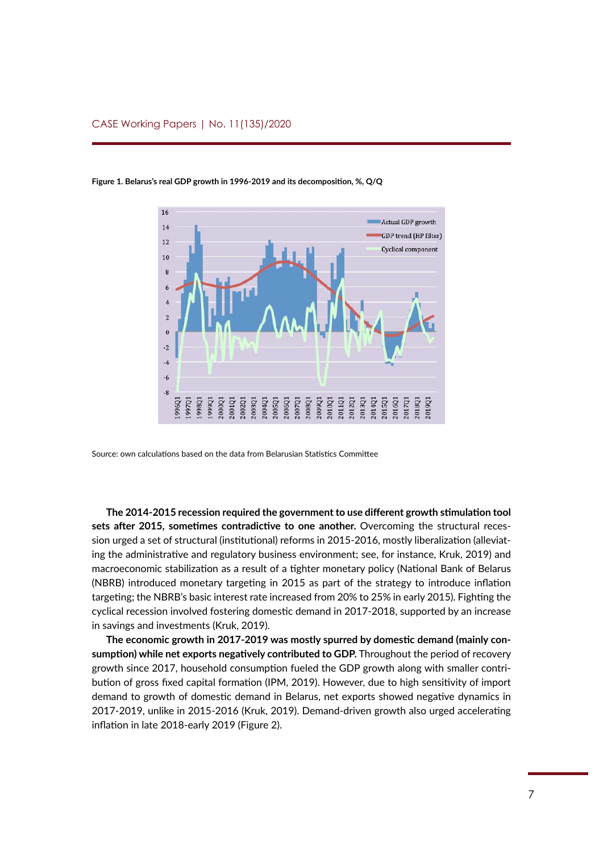

**Figure 1. Belarus's real GDP growth in 1996-2019 and its decomposition, %, Q/Q**

Source: own calculations based on the data from Belarusian Statistics Committee

**The 2014-2015 recession required the government to use different growth stimulation tool sets after 2015, sometimes contradictive to one another.** Overcoming the structural recession urged a set of structural (institutional) reforms in 2015-2016, mostly liberalization (alleviating the administrative and regulatory business environment; see, for instance, Kruk, 2019) and macroeconomic stabilization as a result of a tighter monetary policy (National Bank of Belarus (NBRB) introduced monetary targeting in 2015 as part of the strategy to introduce inflation targeting; the NBRB's basic interest rate increased from 20% to 25% in early 2015). Fighting the cyclical recession involved fostering domestic demand in 2017-2018, supported by an increase in savings and investments (Kruk, 2019).

**The economic growth in 2017-2019 was mostly spurred by domestic demand (mainly consumption) while net exports negatively contributed to GDP.** Throughout the period of recovery growth since 2017, household consumption fueled the GDP growth along with smaller contribution of gross fixed capital formation (IPM, 2019). However, due to high sensitivity of import demand to growth of domestic demand in Belarus, net exports showed negative dynamics in 2017‑2019, unlike in 2015-2016 (Kruk, 2019). Demand‑driven growth also urged accelerating inflation in late 2018-early 2019 (Figure 2).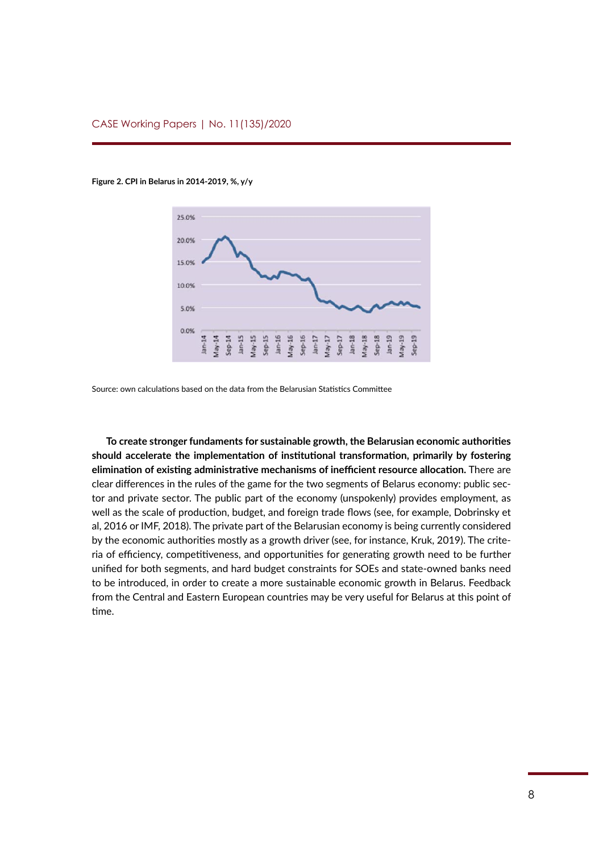#### **Figure 2. CPI in Belarus in 2014-2019, %, y/y**



Source: own calculations based on the data from the Belarusian Statistics Committee

**To create stronger fundaments for sustainable growth, the Belarusian economic authorities should accelerate the implementation of institutional transformation, primarily by fostering elimination of existing administrative mechanisms of inefficient resource allocation.** There are clear differences in the rules of the game for the two segments of Belarus economy: public sector and private sector. The public part of the economy (unspokenly) provides employment, as well as the scale of production, budget, and foreign trade flows (see, for example, Dobrinsky et al, 2016 or IMF, 2018). The private part of the Belarusian economy is being currently considered by the economic authorities mostly as a growth driver (see, for instance, Kruk, 2019). The criteria of efficiency, competitiveness, and opportunities for generating growth need to be further unified for both segments, and hard budget constraints for SOEs and state-owned banks need to be introduced, in order to create a more sustainable economic growth in Belarus. Feedback from the Central and Eastern European countries may be very useful for Belarus at this point of time.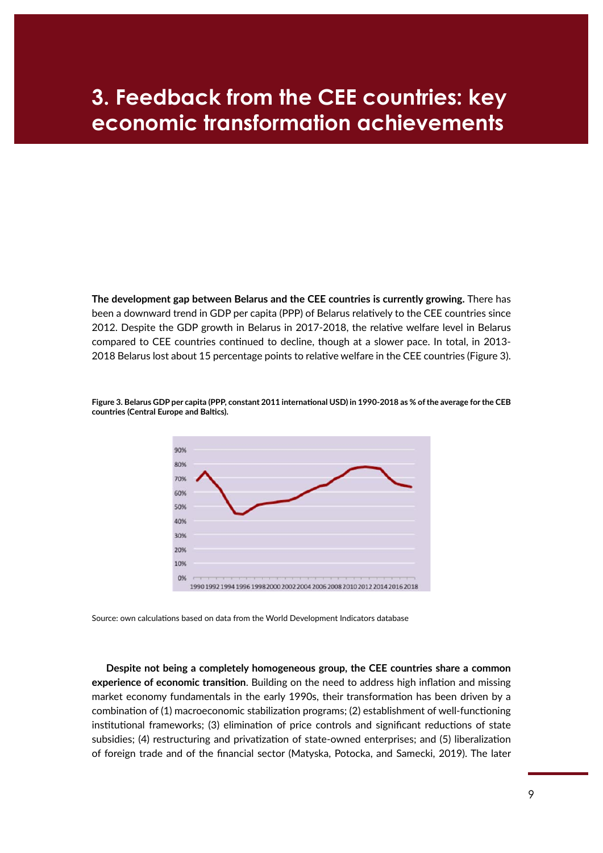### <span id="page-8-0"></span>**3. Feedback from the CEE countries: key economic transformation achievements**

**The development gap between Belarus and the CEE countries is currently growing.** There has been a downward trend in GDP per capita (PPP) of Belarus relatively to the CEE countries since 2012. Despite the GDP growth in Belarus in 2017-2018, the relative welfare level in Belarus compared to CEE countries continued to decline, though at a slower pace. In total, in 2013- 2018 Belarus lost about 15 percentage points to relative welfare in the CEE countries (Figure 3).



**Figure 3. Belarus GDP per capita (PPP, constant 2011 international USD) in 1990-2018 as % of the average for the CEB countries (Central Europe and Baltics).** 

Source: own calculations based on data from the World Development Indicators database

**Despite not being a completely homogeneous group, the CEE countries share a common experience of economic transition**. Building on the need to address high inflation and missing market economy fundamentals in the early 1990s, their transformation has been driven by a combination of (1) macroeconomic stabilization programs; (2) establishment of well-functioning institutional frameworks; (3) elimination of price controls and significant reductions of state subsidies; (4) restructuring and privatization of state-owned enterprises; and (5) liberalization of foreign trade and of the financial sector (Matyska, Potocka, and Samecki, 2019). The later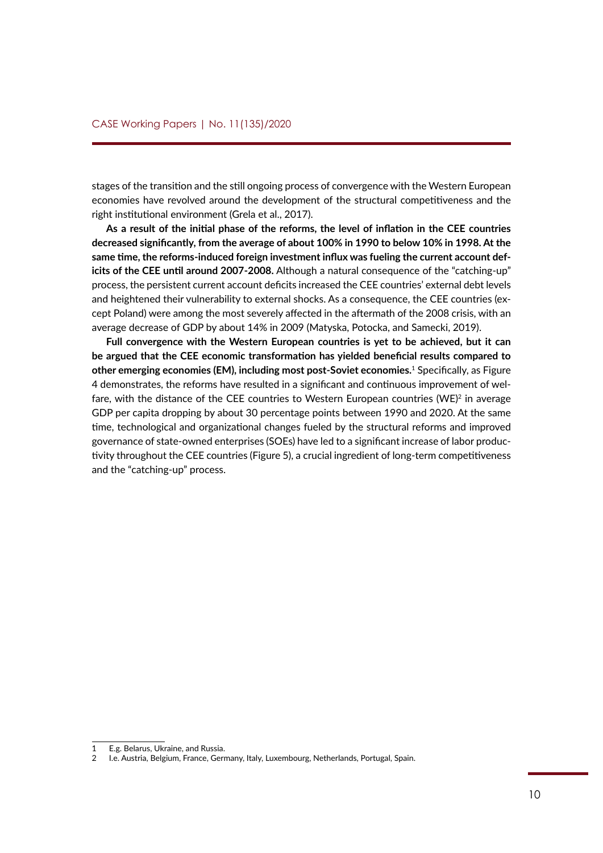stages of the transition and the still ongoing process of convergence with the Western European economies have revolved around the development of the structural competitiveness and the right institutional environment (Grela et al., 2017).

**As a result of the initial phase of the reforms, the level of inflation in the CEE countries decreased significantly, from the average of about 100% in 1990 to below 10% in 1998. At the same time, the reforms‑induced foreign investment influx was fueling the current account deficits of the CEE until around 2007-2008.** Although a natural consequence of the "catching-up" process, the persistent current account deficits increased the CEE countries' external debt levels and heightened their vulnerability to external shocks. As a consequence, the CEE countries (except Poland) were among the most severely affected in the aftermath of the 2008 crisis, with an average decrease of GDP by about 14% in 2009 (Matyska, Potocka, and Samecki, 2019).

**Full convergence with the Western European countries is yet to be achieved, but it can be argued that the CEE economic transformation has yielded beneficial results compared to other emerging economies (EM), including most post-Soviet economies.**1 Specifically, as Figure 4 demonstrates, the reforms have resulted in a significant and continuous improvement of welfare, with the distance of the CEE countries to Western European countries (WE)<sup>2</sup> in average GDP per capita dropping by about 30 percentage points between 1990 and 2020. At the same time, technological and organizational changes fueled by the structural reforms and improved governance of state-owned enterprises (SOEs) have led to a significant increase of labor productivity throughout the CEE countries (Figure 5), a crucial ingredient of long-term competitiveness and the "catching-up" process.

<sup>1</sup> E.g. Belarus, Ukraine, and Russia.

<sup>2</sup> I.e. Austria, Belgium, France, Germany, Italy, Luxembourg, Netherlands, Portugal, Spain.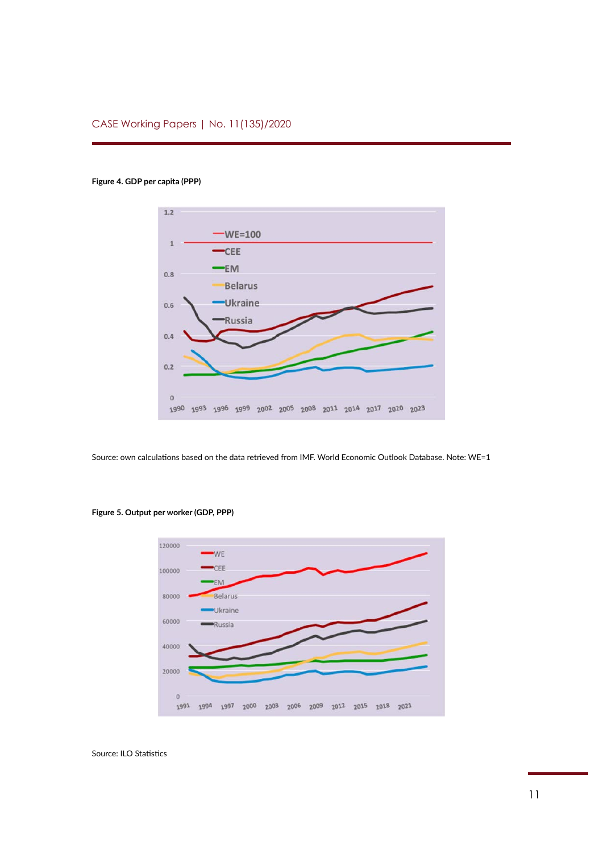#### **Figure 4. GDP per capita (PPP)**



Source: own calculations based on the data retrieved from IMF. World Economic Outlook Database. Note: WE=1



#### **Figure 5. Output per worker (GDP, PPP)**

Source: ILO Statistics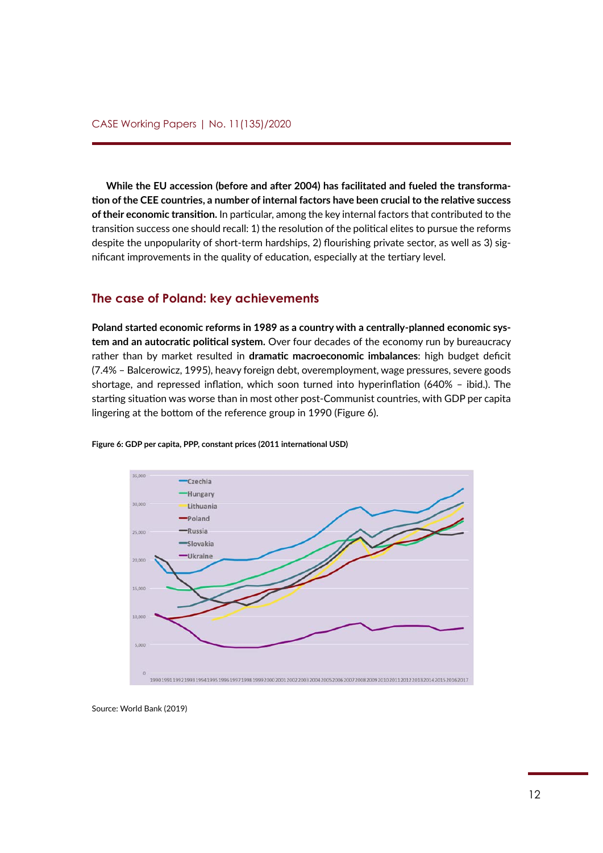**While the EU accession (before and after 2004) has facilitated and fueled the transformation of the CEE countries, a number of internal factors have been crucial to the relative success of their economic transition.** In particular, among the key internal factors that contributed to the transition success one should recall: 1) the resolution of the political elites to pursue the reforms despite the unpopularity of short-term hardships, 2) flourishing private sector, as well as 3) significant improvements in the quality of education, especially at the tertiary level.

#### **The case of Poland: key achievements**

**Poland started economic reforms in 1989 as a country with a centrally‑planned economic system and an autocratic political system.** Over four decades of the economy run by bureaucracy rather than by market resulted in **dramatic macroeconomic imbalances**: high budget deficit (7.4% – Balcerowicz, 1995), heavy foreign debt, overemployment, wage pressures, severe goods shortage, and repressed inflation, which soon turned into hyperinflation (640% – ibid.). The starting situation was worse than in most other post-Communist countries, with GDP per capita lingering at the bottom of the reference group in 1990 (Figure 6).



**Figure 6: GDP per capita, PPP, constant prices (2011 international USD)**

Source: World Bank (2019)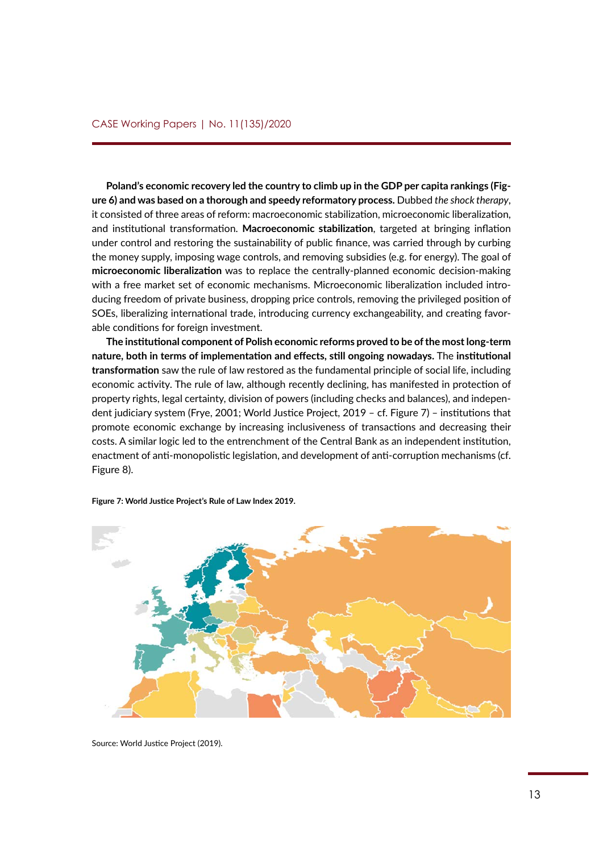**Poland's economic recovery led the country to climb up in the GDP per capita rankings (Figure 6) and was based on a thorough and speedy reformatory process.** Dubbed *the shock therapy*, it consisted of three areas of reform: macroeconomic stabilization, microeconomic liberalization, and institutional transformation. **Macroeconomic stabilization**, targeted at bringing inflation under control and restoring the sustainability of public finance, was carried through by curbing the money supply, imposing wage controls, and removing subsidies (e.g. for energy). The goal of **microeconomic liberalization** was to replace the centrally‑planned economic decision‑making with a free market set of economic mechanisms. Microeconomic liberalization included introducing freedom of private business, dropping price controls, removing the privileged position of SOEs, liberalizing international trade, introducing currency exchangeability, and creating favorable conditions for foreign investment.

**The institutional component of Polish economic reforms proved to be of the most long‑term nature, both in terms of implementation and effects, still ongoing nowadays.** The **institutional transformation** saw the rule of law restored as the fundamental principle of social life, including economic activity. The rule of law, although recently declining, has manifested in protection of property rights, legal certainty, division of powers (including checks and balances), and independent judiciary system (Frye, 2001; World Justice Project, 2019 – cf. Figure 7) – institutions that promote economic exchange by increasing inclusiveness of transactions and decreasing their costs. A similar logic led to the entrenchment of the Central Bank as an independent institution, enactment of anti-monopolistic legislation, and development of anti-corruption mechanisms (cf. Figure 8).



**Figure 7: World Justice Project's Rule of Law Index 2019.**

Source: World Justice Project (2019).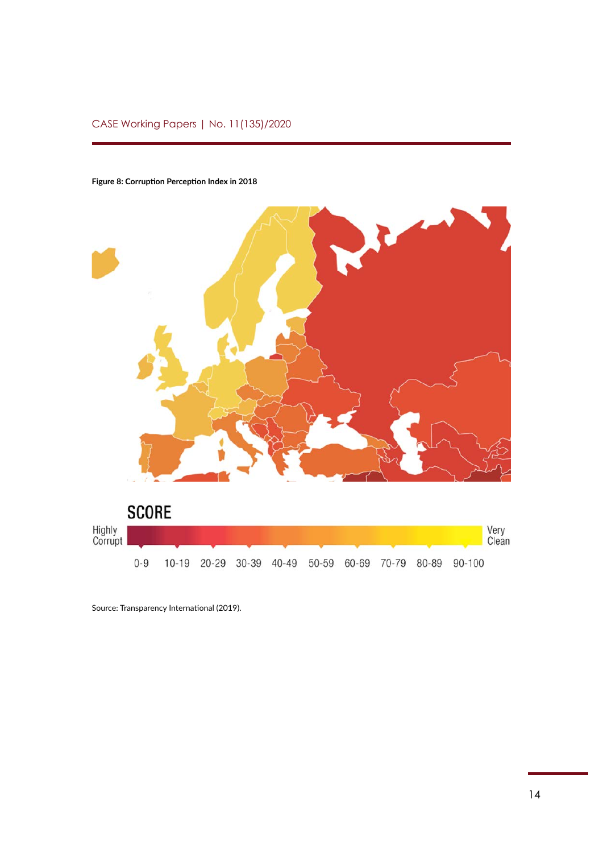### CASE Working Papers | No. 11(135)/2020



#### **Figure 8: Corruption Perception Index in 2018**

Source: Transparency International (2019).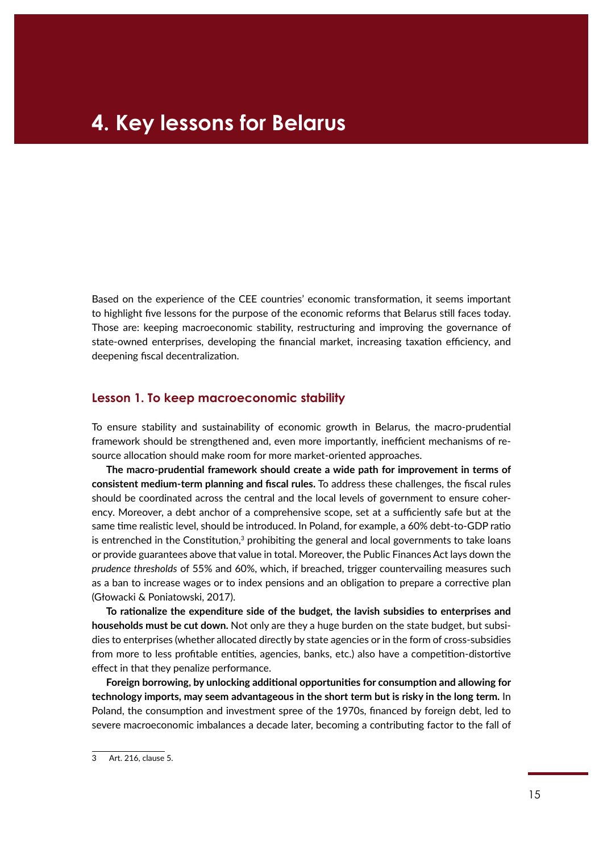<span id="page-14-0"></span>Based on the experience of the CEE countries' economic transformation, it seems important to highlight five lessons for the purpose of the economic reforms that Belarus still faces today. Those are: keeping macroeconomic stability, restructuring and improving the governance of state-owned enterprises, developing the financial market, increasing taxation efficiency, and deepening fiscal decentralization.

#### **Lesson 1. To keep macroeconomic stability**

To ensure stability and sustainability of economic growth in Belarus, the macro-prudential framework should be strengthened and, even more importantly, inefficient mechanisms of resource allocation should make room for more market-oriented approaches.

**The macro‑prudential framework should create a wide path for improvement in terms of consistent medium‑term planning and fiscal rules.** To address these challenges, the fiscal rules should be coordinated across the central and the local levels of government to ensure coherency. Moreover, a debt anchor of a comprehensive scope, set at a sufficiently safe but at the same time realistic level, should be introduced. In Poland, for example, a 60% debt-to-GDP ratio is entrenched in the Constitution, $3$  prohibiting the general and local governments to take loans or provide guarantees above that value in total. Moreover, the Public Finances Act lays down the *prudence thresholds* of 55% and 60%, which, if breached, trigger countervailing measures such as a ban to increase wages or to index pensions and an obligation to prepare a corrective plan (Głowacki & Poniatowski, 2017).

**To rationalize the expenditure side of the budget, the lavish subsidies to enterprises and households must be cut down.** Not only are they a huge burden on the state budget, but subsidies to enterprises (whether allocated directly by state agencies or in the form of cross-subsidies from more to less profitable entities, agencies, banks, etc.) also have a competition-distortive effect in that they penalize performance.

**Foreign borrowing, by unlocking additional opportunities for consumption and allowing for technology imports, may seem advantageous in the short term but is risky in the long term.** In Poland, the consumption and investment spree of the 1970s, financed by foreign debt, led to severe macroeconomic imbalances a decade later, becoming a contributing factor to the fall of

<sup>3</sup> Art. 216, clause 5.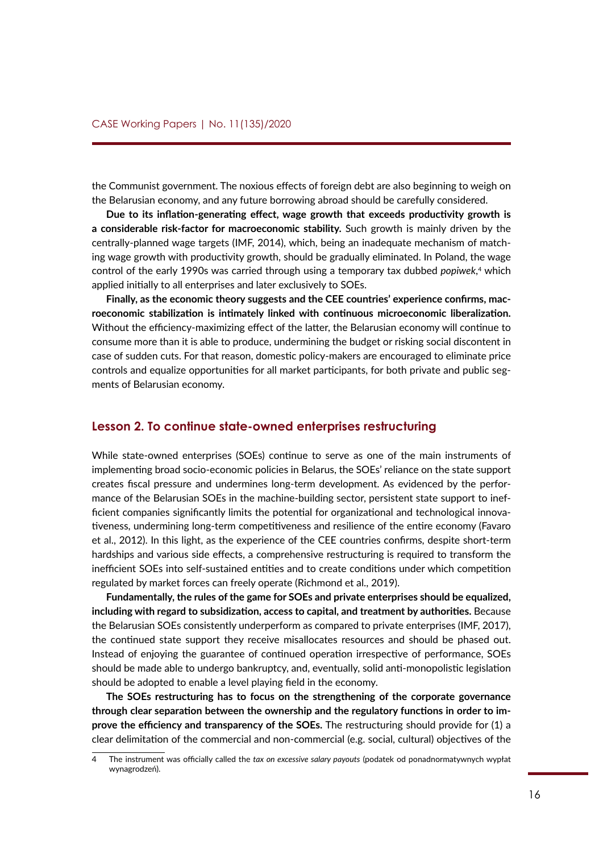<span id="page-15-0"></span>the Communist government. The noxious effects of foreign debt are also beginning to weigh on the Belarusian economy, and any future borrowing abroad should be carefully considered.

**Due to its inflation‑generating effect, wage growth that exceeds productivity growth is a considerable risk‑factor for macroeconomic stability.** Such growth is mainly driven by the centrally‑planned wage targets (IMF, 2014), which, being an inadequate mechanism of matching wage growth with productivity growth, should be gradually eliminated. In Poland, the wage control of the early 1990s was carried through using a temporary tax dubbed *popiwek*, 4 which applied initially to all enterprises and later exclusively to SOEs.

**Finally, as the economic theory suggests and the CEE countries' experience confirms, macroeconomic stabilization is intimately linked with continuous microeconomic liberalization.** Without the efficiency-maximizing effect of the latter, the Belarusian economy will continue to consume more than it is able to produce, undermining the budget or risking social discontent in case of sudden cuts. For that reason, domestic policy‑makers are encouraged to eliminate price controls and equalize opportunities for all market participants, for both private and public segments of Belarusian economy.

#### **Lesson 2. To continue state-owned enterprises restructuring**

While state-owned enterprises (SOEs) continue to serve as one of the main instruments of implementing broad socio-economic policies in Belarus, the SOEs' reliance on the state support creates fiscal pressure and undermines long-term development. As evidenced by the performance of the Belarusian SOEs in the machine-building sector, persistent state support to inefficient companies significantly limits the potential for organizational and technological innovativeness, undermining long‑term competitiveness and resilience of the entire economy (Favaro et al., 2012). In this light, as the experience of the CEE countries confirms, despite short-term hardships and various side effects, a comprehensive restructuring is required to transform the inefficient SOEs into self‑sustained entities and to create conditions under which competition regulated by market forces can freely operate (Richmond et al., 2019).

**Fundamentally, the rules of the game for SOEs and private enterprises should be equalized, including with regard to subsidization, access to capital, and treatment by authorities.** Because the Belarusian SOEs consistently underperform as compared to private enterprises (IMF, 2017), the continued state support they receive misallocates resources and should be phased out. Instead of enjoying the guarantee of continued operation irrespective of performance, SOEs should be made able to undergo bankruptcy, and, eventually, solid anti‑monopolistic legislation should be adopted to enable a level playing field in the economy.

**The SOEs restructuring has to focus on the strengthening of the corporate governance through clear separation between the ownership and the regulatory functions in order to improve the efficiency and transparency of the SOEs.** The restructuring should provide for (1) a clear delimitation of the commercial and non-commercial (e.g. social, cultural) objectives of the

<sup>4</sup> The instrument was officially called the *tax on excessive salary payouts* (podatek od ponadnormatywnych wypłat wynagrodzeń).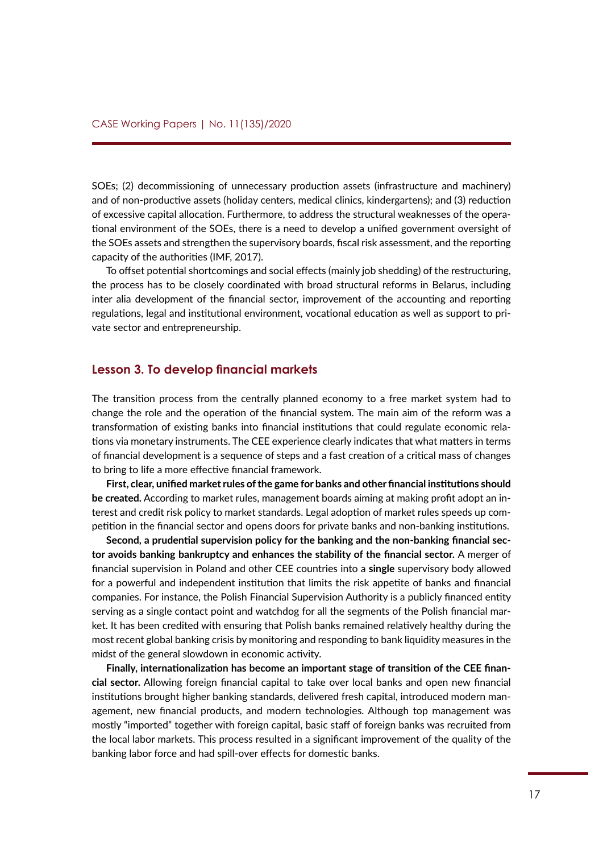<span id="page-16-0"></span>SOEs; (2) decommissioning of unnecessary production assets (infrastructure and machinery) and of non‑productive assets (holiday centers, medical clinics, kindergartens); and (3) reduction of excessive capital allocation. Furthermore, to address the structural weaknesses of the operational environment of the SOEs, there is a need to develop a unified government oversight of the SOEs assets and strengthen the supervisory boards, fiscal risk assessment, and the reporting capacity of the authorities (IMF, 2017).

To offset potential shortcomings and social effects (mainly job shedding) of the restructuring, the process has to be closely coordinated with broad structural reforms in Belarus, including inter alia development of the financial sector, improvement of the accounting and reporting regulations, legal and institutional environment, vocational education as well as support to private sector and entrepreneurship.

#### **Lesson 3. To develop financial markets**

The transition process from the centrally planned economy to a free market system had to change the role and the operation of the financial system. The main aim of the reform was a transformation of existing banks into financial institutions that could regulate economic relations via monetary instruments. The CEE experience clearly indicates that what matters in terms of financial development is a sequence of steps and a fast creation of a critical mass of changes to bring to life a more effective financial framework.

**First, clear, unified market rules of the game for banks and other financial institutions should be created.** According to market rules, management boards aiming at making profit adopt an interest and credit risk policy to market standards. Legal adoption of market rules speeds up competition in the financial sector and opens doors for private banks and non-banking institutions.

**Second, a prudential supervision policy for the banking and the non-banking financial sector avoids banking bankruptcy and enhances the stability of the financial sector.** A merger of financial supervision in Poland and other CEE countries into a **single** supervisory body allowed for a powerful and independent institution that limits the risk appetite of banks and financial companies. For instance, the Polish Financial Supervision Authority is a publicly financed entity serving as a single contact point and watchdog for all the segments of the Polish financial market. It has been credited with ensuring that Polish banks remained relatively healthy during the most recent global banking crisis by monitoring and responding to bank liquidity measures in the midst of the general slowdown in economic activity.

**Finally, internationalization has become an important stage of transition of the CEE financial sector.** Allowing foreign financial capital to take over local banks and open new financial institutions brought higher banking standards, delivered fresh capital, introduced modern management, new financial products, and modern technologies. Although top management was mostly "imported" together with foreign capital, basic staff of foreign banks was recruited from the local labor markets. This process resulted in a significant improvement of the quality of the banking labor force and had spill‑over effects for domestic banks.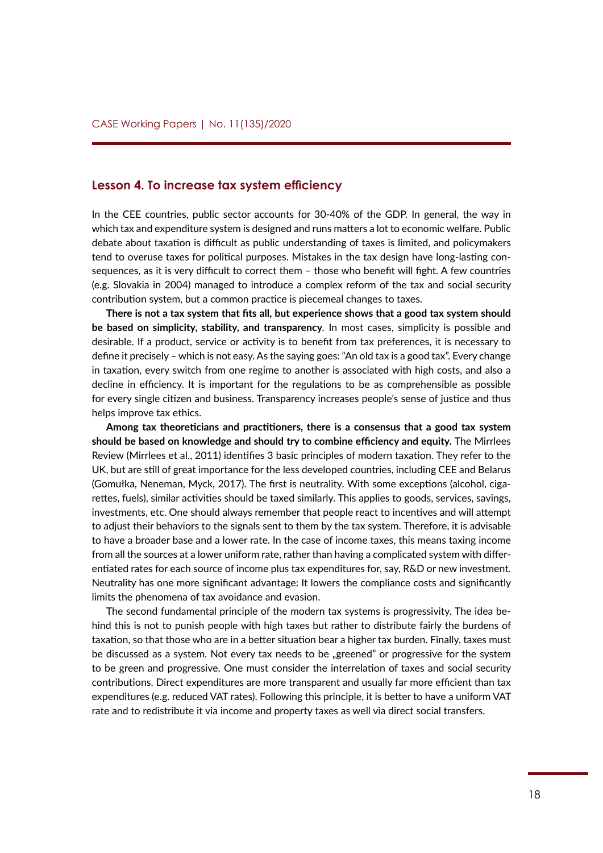#### <span id="page-17-0"></span>**Lesson 4. To increase tax system efficiency**

In the CEE countries, public sector accounts for 30-40% of the GDP. In general, the way in which tax and expenditure system is designed and runs matters a lot to economic welfare. Public debate about taxation is difficult as public understanding of taxes is limited, and policymakers tend to overuse taxes for political purposes. Mistakes in the tax design have long-lasting consequences, as it is very difficult to correct them – those who benefit will fight. A few countries (e.g. Slovakia in 2004) managed to introduce a complex reform of the tax and social security contribution system, but a common practice is piecemeal changes to taxes.

**There is not a tax system that fits all, but experience shows that a good tax system should be based on simplicity, stability, and transparency***.* In most cases, simplicity is possible and desirable. If a product, service or activity is to benefit from tax preferences, it is necessary to define it precisely – which is not easy. As the saying goes: "An old tax is a good tax". Every change in taxation, every switch from one regime to another is associated with high costs, and also a decline in efficiency. It is important for the regulations to be as comprehensible as possible for every single citizen and business. Transparency increases people's sense of justice and thus helps improve tax ethics.

**Among tax theoreticians and practitioners, there is a consensus that a good tax system should be based on knowledge and should try to combine efficiency and equity.** The Mirrlees Review (Mirrlees et al., 2011) identifies 3 basic principles of modern taxation. They refer to the UK, but are still of great importance for the less developed countries, including CEE and Belarus (Gomułka, Neneman, Myck, 2017). The first is neutrality. With some exceptions (alcohol, cigarettes, fuels), similar activities should be taxed similarly. This applies to goods, services, savings, investments, etc. One should always remember that people react to incentives and will attempt to adjust their behaviors to the signals sent to them by the tax system. Therefore, it is advisable to have a broader base and a lower rate. In the case of income taxes, this means taxing income from all the sources at a lower uniform rate, rather than having a complicated system with differentiated rates for each source of income plus tax expenditures for, say, R&D or new investment. Neutrality has one more significant advantage: It lowers the compliance costs and significantly limits the phenomena of tax avoidance and evasion.

The second fundamental principle of the modern tax systems is progressivity. The idea behind this is not to punish people with high taxes but rather to distribute fairly the burdens of taxation, so that those who are in a better situation bear a higher tax burden. Finally, taxes must be discussed as a system. Not every tax needs to be "greened" or progressive for the system to be green and progressive. One must consider the interrelation of taxes and social security contributions. Direct expenditures are more transparent and usually far more efficient than tax expenditures (e.g. reduced VAT rates). Following this principle, it is better to have a uniform VAT rate and to redistribute it via income and property taxes as well via direct social transfers.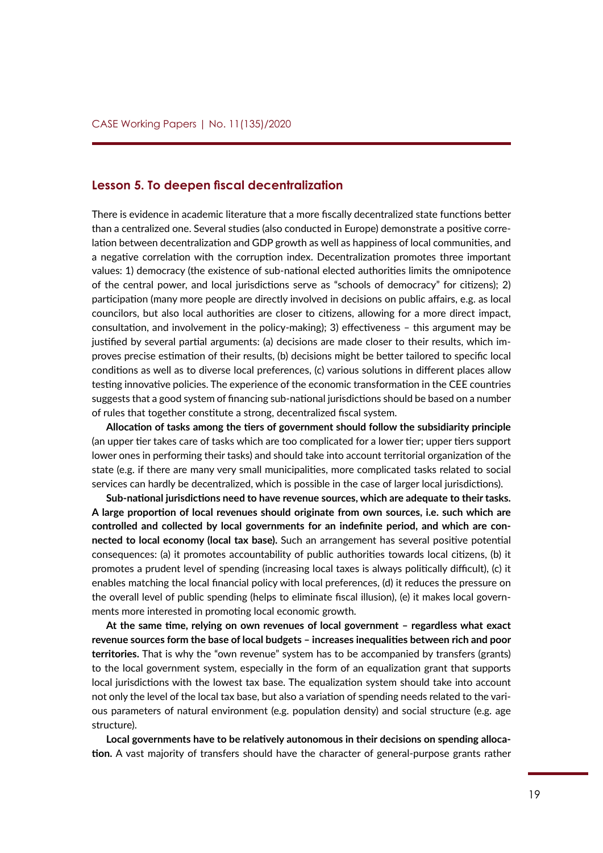#### <span id="page-18-0"></span>**Lesson 5. To deepen fiscal decentralization**

There is evidence in academic literature that a more fiscally decentralized state functions better than a centralized one. Several studies (also conducted in Europe) demonstrate a positive correlation between decentralization and GDP growth as well as happiness of local communities, and a negative correlation with the corruption index. Decentralization promotes three important values: 1) democracy (the existence of sub-national elected authorities limits the omnipotence of the central power, and local jurisdictions serve as "schools of democracy" for citizens); 2) participation (many more people are directly involved in decisions on public affairs, e.g. as local councilors, but also local authorities are closer to citizens, allowing for a more direct impact, consultation, and involvement in the policy‑making); 3) effectiveness – this argument may be justified by several partial arguments: (a) decisions are made closer to their results, which improves precise estimation of their results, (b) decisions might be better tailored to specific local conditions as well as to diverse local preferences, (c) various solutions in different places allow testing innovative policies. The experience of the economic transformation in the CEE countries suggests that a good system of financing sub-national jurisdictions should be based on a number of rules that together constitute a strong, decentralized fiscal system.

**Allocation of tasks among the tiers of government should follow the subsidiarity principle** (an upper tier takes care of tasks which are too complicated for a lower tier; upper tiers support lower ones in performing their tasks) and should take into account territorial organization of the state (e.g. if there are many very small municipalities, more complicated tasks related to social services can hardly be decentralized, which is possible in the case of larger local jurisdictions).

**Sub-national jurisdictions need to have revenue sources, which are adequate to their tasks. A large proportion of local revenues should originate from own sources, i.e. such which are controlled and collected by local governments for an indefinite period, and which are connected to local economy (local tax base).** Such an arrangement has several positive potential consequences: (a) it promotes accountability of public authorities towards local citizens, (b) it promotes a prudent level of spending (increasing local taxes is always politically difficult), (c) it enables matching the local financial policy with local preferences, (d) it reduces the pressure on the overall level of public spending (helps to eliminate fiscal illusion), (e) it makes local governments more interested in promoting local economic growth.

**At the same time, relying on own revenues of local government – regardless what exact revenue sources form the base of local budgets – increases inequalities between rich and poor territories.** That is why the "own revenue" system has to be accompanied by transfers (grants) to the local government system, especially in the form of an equalization grant that supports local jurisdictions with the lowest tax base. The equalization system should take into account not only the level of the local tax base, but also a variation of spending needs related to the various parameters of natural environment (e.g. population density) and social structure (e.g. age structure).

**Local governments have to be relatively autonomous in their decisions on spending allocation.** A vast majority of transfers should have the character of general-purpose grants rather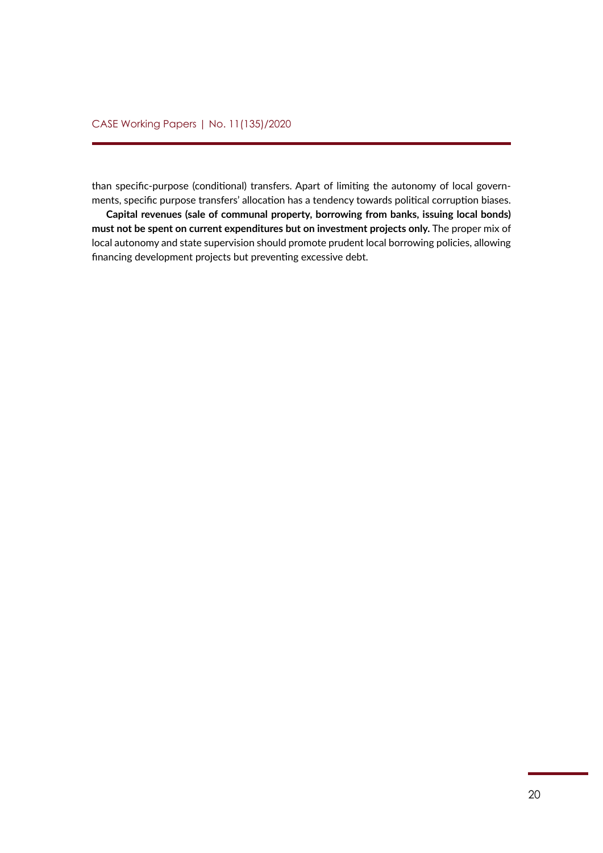than specific-purpose (conditional) transfers. Apart of limiting the autonomy of local governments, specific purpose transfers' allocation has a tendency towards political corruption biases.

**Capital revenues (sale of communal property, borrowing from banks, issuing local bonds) must not be spent on current expenditures but on investment projects only.** The proper mix of local autonomy and state supervision should promote prudent local borrowing policies, allowing financing development projects but preventing excessive debt.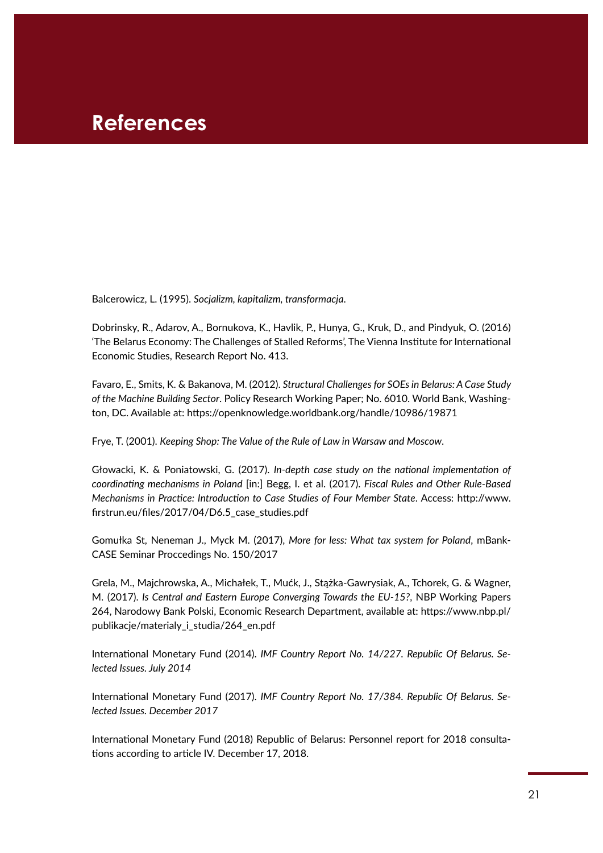### <span id="page-20-0"></span>**References**

Balcerowicz, L. (1995). *Socjalizm, kapitalizm, transformacja*.

Dobrinsky, R., Adarov, A., Bornukova, K., Havlik, P., Hunya, G., Kruk, D., and Pindyuk, O. (2016) 'The Belarus Economy: The Challenges of Stalled Reforms', The Vienna Institute for International Economic Studies, Research Report No. 413.

Favaro, E., Smits, K. & Bakanova, M. (2012). *Structural Challenges for SOEs in Belarus: A Case Study of the Machine Building Sector*. Policy Research Working Paper; No. 6010. World Bank, Washington, DC. Available at: <https://openknowledge.worldbank.org/handle/10986/19871>

Frye, T. (2001). *Keeping Shop: The Value of the Rule of Law in Warsaw and Moscow*.

Głowacki, K. & Poniatowski, G. (2017). *In-depth case study on the national implementation of coordinating mechanisms in Poland* [in:] Begg, I. et al. (2017). *Fiscal Rules and Other Rule-Based Mechanisms in Practice: Introduction to Case Studies of Four Member State*. Access: [http://www.](http://www.firstrun.eu/files/2017/04/D6.5_case_studies.pdf) [firstrun.eu/files/2017/04/D6.5\\_case\\_studies.pdf](http://www.firstrun.eu/files/2017/04/D6.5_case_studies.pdf)

Gomułka St, Neneman J., Myck M. (2017), *More for less: What tax system for Poland*, mBank-CASE Seminar Proccedings No. 150/2017

Grela, M., Majchrowska, A., Michałek, T., Mućk, J., Stążka-Gawrysiak, A., Tchorek, G. & Wagner, M. (2017). *Is Central and Eastern Europe Converging Towards the EU-15?*, NBP Working Papers 264, Narodowy Bank Polski, Economic Research Department, available at: [https://www.nbp.pl/](https://www.nbp.pl/publikacje/materialy_i_studia/264_en.pdf) [publikacje/materialy\\_i\\_studia/264\\_en.pdf](https://www.nbp.pl/publikacje/materialy_i_studia/264_en.pdf) 

International Monetary Fund (2014). *IMF Country Report No. 14/227. Republic Of Belarus. Selected Issues. July 2014*

International Monetary Fund (2017). *IMF Country Report No. 17/384. Republic Of Belarus. Selected Issues. December 2017*

International Monetary Fund (2018) Republic of Belarus: Personnel report for 2018 consultations according to article IV. December 17, 2018.